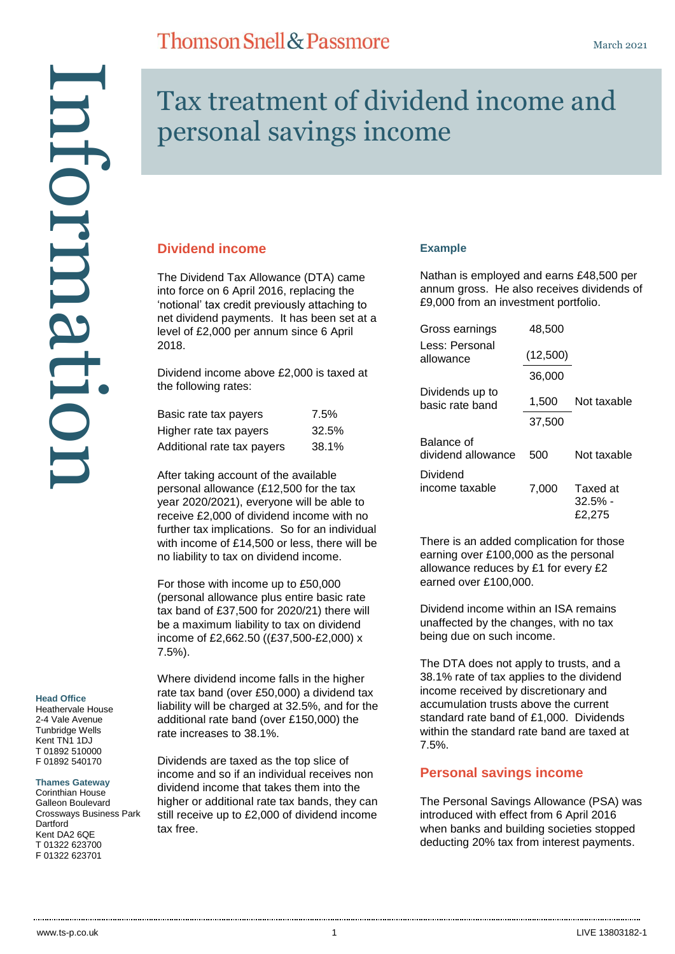#### **Head Office**

Heathervale House 2-4 Vale Avenue Tunbridge Wells Kent TN1 1DJ T 01892 510000 F 01892 540170

#### **Thames Gateway**

Corinthian House Galleon Boulevard Crossways Business Park Dartford Kent DA2 6QE T 01322 623700

# Tax treatment of dividend income and personal savings income

#### **Dividend income**

The Dividend Tax Allowance (DTA) came into force on 6 April 2016, replacing the 'notional' tax credit previously attaching to net dividend payments. It has been set at a level of £2,000 per annum since 6 April 2018.

**Thomson Snell & Passmore** 

Dividend income above £2,000 is taxed at the following rates:

| Basic rate tax payers      | 7.5%  |
|----------------------------|-------|
| Higher rate tax payers     | 32.5% |
| Additional rate tax payers | 38.1% |

After taking account of the available personal allowance (£12,500 for the tax year 2020/2021), everyone will be able to receive £2,000 of dividend income with no further tax implications. So for an individual with income of £14,500 or less, there will be no liability to tax on dividend income.

For those with income up to £50,000 (personal allowance plus entire basic rate tax band of £37,500 for 2020/21) there will be a maximum liability to tax on dividend income of £2,662.50 ((£37,500-£2,000) x 7.5%).

Where dividend income falls in the higher rate tax band (over £50,000) a dividend tax liability will be charged at 32.5%, and for the additional rate band (over £150,000) the rate increases to 38.1%.

Dividends are taxed as the top slice of income and so if an individual receives non dividend income that takes them into the higher or additional rate tax bands, they can still receive up to £2,000 of dividend income tax free.

#### **Example**

Nathan is employed and earns £48,500 per annum gross. He also receives dividends of £9,000 from an investment portfolio.

| Gross earnings                     | 48,500             |                                  |
|------------------------------------|--------------------|----------------------------------|
| Less: Personal<br>allowance        | (12,500)<br>36,000 |                                  |
| Dividends up to<br>basic rate band | 1,500              | Not taxable                      |
|                                    | 37.500             |                                  |
| Balance of<br>dividend allowance   | 500                | Not taxable                      |
| Dividend<br>income taxable         | 7,000              | Taxed at<br>$32.5\%$ -<br>£2.275 |

There is an added complication for those earning over £100,000 as the personal allowance reduces by £1 for every £2 earned over £100,000.

Dividend income within an ISA remains unaffected by the changes, with no tax being due on such income.

The DTA does not apply to trusts, and a 38.1% rate of tax applies to the dividend income received by discretionary and accumulation trusts above the current standard rate band of £1,000. Dividends within the standard rate band are taxed at 7.5%.

#### **Personal savings income**

The Personal Savings Allowance (PSA) was introduced with effect from 6 April 2016 when banks and building societies stopped deducting 20% tax from interest payments.